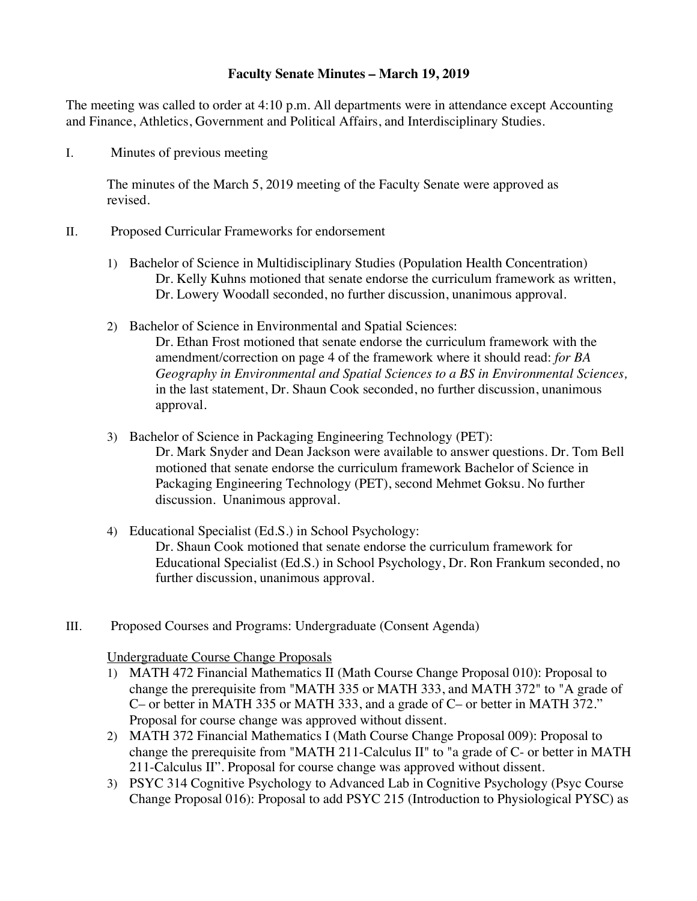## **Faculty Senate Minutes – March 19, 2019**

The meeting was called to order at 4:10 p.m. All departments were in attendance except Accounting and Finance, Athletics, Government and Political Affairs, and Interdisciplinary Studies.

I. Minutes of previous meeting

The minutes of the March 5, 2019 meeting of the Faculty Senate were approved as revised.

- II. Proposed Curricular Frameworks for endorsement
	- 1) Bachelor of Science in Multidisciplinary Studies (Population Health Concentration) Dr. Kelly Kuhns motioned that senate endorse the curriculum framework as written, Dr. Lowery Woodall seconded, no further discussion, unanimous approval.
	- 2) Bachelor of Science in Environmental and Spatial Sciences: Dr. Ethan Frost motioned that senate endorse the curriculum framework with the amendment/correction on page 4 of the framework where it should read: *for BA Geography in Environmental and Spatial Sciences to a BS in Environmental Sciences,* in the last statement, Dr. Shaun Cook seconded, no further discussion, unanimous approval.
	- 3) Bachelor of Science in Packaging Engineering Technology (PET): Dr. Mark Snyder and Dean Jackson were available to answer questions. Dr. Tom Bell motioned that senate endorse the curriculum framework Bachelor of Science in Packaging Engineering Technology (PET), second Mehmet Goksu. No further discussion. Unanimous approval.
	- 4) Educational Specialist (Ed.S.) in School Psychology: Dr. Shaun Cook motioned that senate endorse the curriculum framework for Educational Specialist (Ed.S.) in School Psychology, Dr. Ron Frankum seconded, no further discussion, unanimous approval.
- III. Proposed Courses and Programs: Undergraduate (Consent Agenda)

# Undergraduate Course Change Proposals

- 1) MATH 472 Financial Mathematics II (Math Course Change Proposal 010): Proposal to change the prerequisite from "MATH 335 or MATH 333, and MATH 372" to "A grade of C– or better in MATH 335 or MATH 333, and a grade of C– or better in MATH 372." Proposal for course change was approved without dissent.
- 2) MATH 372 Financial Mathematics I (Math Course Change Proposal 009): Proposal to change the prerequisite from "MATH 211-Calculus II" to "a grade of C- or better in MATH 211-Calculus II". Proposal for course change was approved without dissent.
- 3) PSYC 314 Cognitive Psychology to Advanced Lab in Cognitive Psychology (Psyc Course Change Proposal 016): Proposal to add PSYC 215 (Introduction to Physiological PYSC) as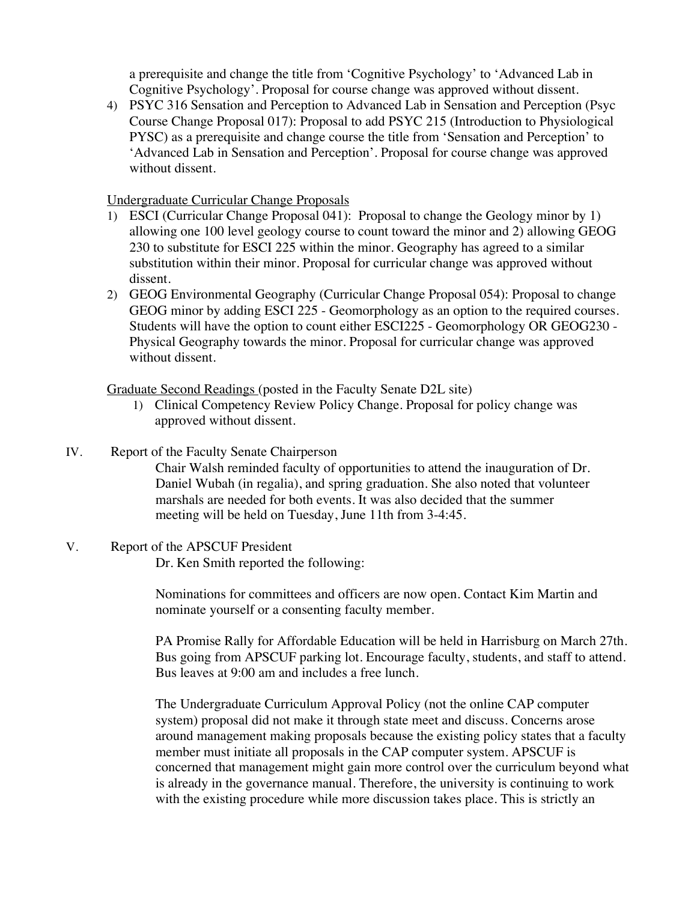a prerequisite and change the title from 'Cognitive Psychology' to 'Advanced Lab in Cognitive Psychology'. Proposal for course change was approved without dissent.

4) PSYC 316 Sensation and Perception to Advanced Lab in Sensation and Perception (Psyc Course Change Proposal 017): Proposal to add PSYC 215 (Introduction to Physiological PYSC) as a prerequisite and change course the title from 'Sensation and Perception' to 'Advanced Lab in Sensation and Perception'. Proposal for course change was approved without dissent.

## Undergraduate Curricular Change Proposals

- 1) ESCI (Curricular Change Proposal 041): Proposal to change the Geology minor by 1) allowing one 100 level geology course to count toward the minor and 2) allowing GEOG 230 to substitute for ESCI 225 within the minor. Geography has agreed to a similar substitution within their minor. Proposal for curricular change was approved without dissent.
- 2) GEOG Environmental Geography (Curricular Change Proposal 054): Proposal to change GEOG minor by adding ESCI 225 - Geomorphology as an option to the required courses. Students will have the option to count either ESCI225 - Geomorphology OR GEOG230 - Physical Geography towards the minor. Proposal for curricular change was approved without dissent.

Graduate Second Readings (posted in the Faculty Senate D2L site)

- 1) Clinical Competency Review Policy Change. Proposal for policy change was approved without dissent.
- IV. Report of the Faculty Senate Chairperson Chair Walsh reminded faculty of opportunities to attend the inauguration of Dr. Daniel Wubah (in regalia), and spring graduation. She also noted that volunteer marshals are needed for both events. It was also decided that the summer meeting will be held on Tuesday, June 11th from 3-4:45.
- V. Report of the APSCUF President Dr. Ken Smith reported the following:

Nominations for committees and officers are now open. Contact Kim Martin and nominate yourself or a consenting faculty member.

PA Promise Rally for Affordable Education will be held in Harrisburg on March 27th. Bus going from APSCUF parking lot. Encourage faculty, students, and staff to attend. Bus leaves at 9:00 am and includes a free lunch.

The Undergraduate Curriculum Approval Policy (not the online CAP computer system) proposal did not make it through state meet and discuss. Concerns arose around management making proposals because the existing policy states that a faculty member must initiate all proposals in the CAP computer system. APSCUF is concerned that management might gain more control over the curriculum beyond what is already in the governance manual. Therefore, the university is continuing to work with the existing procedure while more discussion takes place. This is strictly an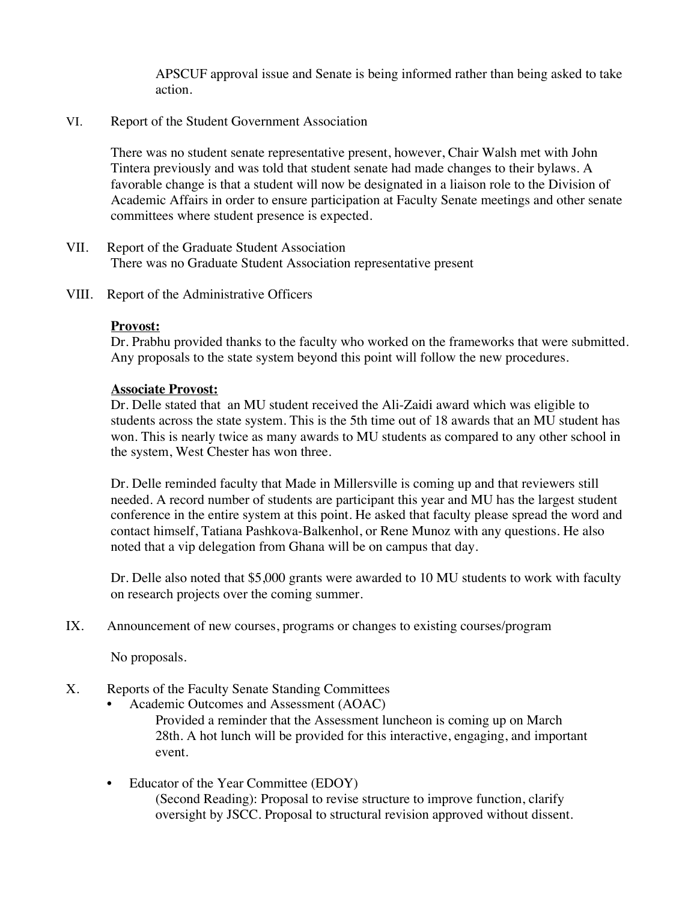APSCUF approval issue and Senate is being informed rather than being asked to take action.

### VI. Report of the Student Government Association

There was no student senate representative present, however, Chair Walsh met with John Tintera previously and was told that student senate had made changes to their bylaws. A favorable change is that a student will now be designated in a liaison role to the Division of Academic Affairs in order to ensure participation at Faculty Senate meetings and other senate committees where student presence is expected.

- VII. Report of the Graduate Student Association There was no Graduate Student Association representative present
- VIII. Report of the Administrative Officers

## **Provost:**

Dr. Prabhu provided thanks to the faculty who worked on the frameworks that were submitted. Any proposals to the state system beyond this point will follow the new procedures.

#### **Associate Provost:**

Dr. Delle stated that an MU student received the Ali-Zaidi award which was eligible to students across the state system. This is the 5th time out of 18 awards that an MU student has won. This is nearly twice as many awards to MU students as compared to any other school in the system, West Chester has won three.

Dr. Delle reminded faculty that Made in Millersville is coming up and that reviewers still needed. A record number of students are participant this year and MU has the largest student conference in the entire system at this point. He asked that faculty please spread the word and contact himself, Tatiana Pashkova-Balkenhol, or Rene Munoz with any questions. He also noted that a vip delegation from Ghana will be on campus that day.

Dr. Delle also noted that \$5,000 grants were awarded to 10 MU students to work with faculty on research projects over the coming summer.

IX. Announcement of new courses, programs or changes to existing courses/program

No proposals.

- X. Reports of the Faculty Senate Standing Committees
	- Academic Outcomes and Assessment (AOAC) Provided a reminder that the Assessment luncheon is coming up on March 28th. A hot lunch will be provided for this interactive, engaging, and important event.
	- Educator of the Year Committee (EDOY) (Second Reading): Proposal to revise structure to improve function, clarify oversight by JSCC. Proposal to structural revision approved without dissent.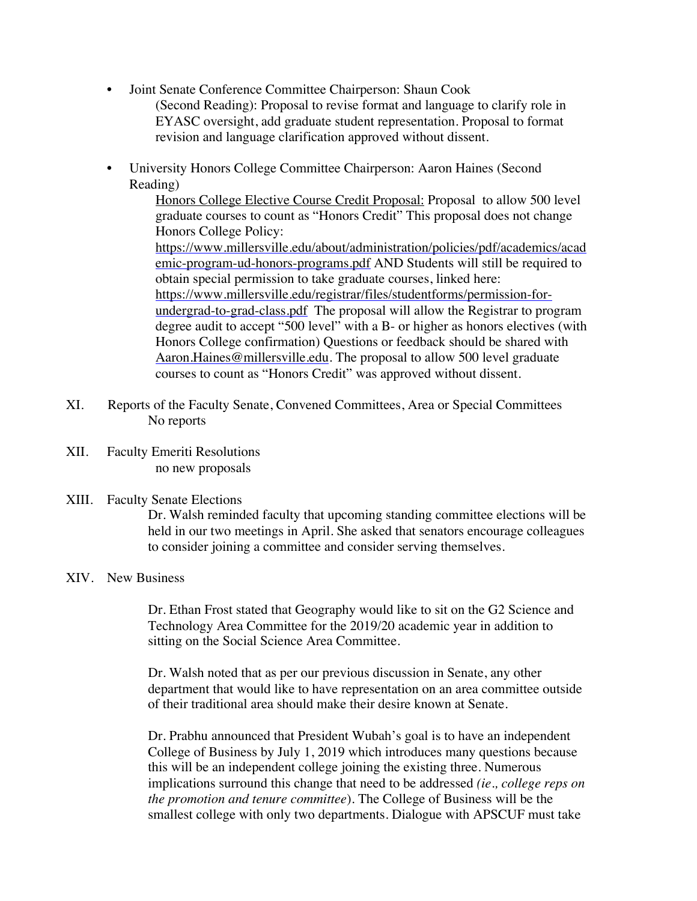- Joint Senate Conference Committee Chairperson: Shaun Cook (Second Reading): Proposal to revise format and language to clarify role in EYASC oversight, add graduate student representation. Proposal to format revision and language clarification approved without dissent.
- University Honors College Committee Chairperson: Aaron Haines (Second Reading)

Honors College Elective Course Credit Proposal: Proposal to allow 500 level graduate courses to count as "Honors Credit" This proposal does not change Honors College Policy: https://www.millersville.edu/about/administration/policies/pdf/academics/acad emic-program-ud-honors-programs.pdf AND Students will still be required to obtain special permission to take graduate courses, linked here: https://www.millersville.edu/registrar/files/studentforms/permission-forundergrad-to-grad-class.pdf The proposal will allow the Registrar to program degree audit to accept "500 level" with a B- or higher as honors electives (with Honors College confirmation) Questions or feedback should be shared with Aaron.Haines@millersville.edu. The proposal to allow 500 level graduate courses to count as "Honors Credit" was approved without dissent.

- XI. Reports of the Faculty Senate, Convened Committees, Area or Special Committees No reports
- XII. Faculty Emeriti Resolutions no new proposals

#### XIII. Faculty Senate Elections

Dr. Walsh reminded faculty that upcoming standing committee elections will be held in our two meetings in April. She asked that senators encourage colleagues to consider joining a committee and consider serving themselves.

#### XIV. New Business

Dr. Ethan Frost stated that Geography would like to sit on the G2 Science and Technology Area Committee for the 2019/20 academic year in addition to sitting on the Social Science Area Committee.

Dr. Walsh noted that as per our previous discussion in Senate, any other department that would like to have representation on an area committee outside of their traditional area should make their desire known at Senate.

Dr. Prabhu announced that President Wubah's goal is to have an independent College of Business by July 1, 2019 which introduces many questions because this will be an independent college joining the existing three. Numerous implications surround this change that need to be addressed *(ie., college reps on the promotion and tenure committee*). The College of Business will be the smallest college with only two departments. Dialogue with APSCUF must take